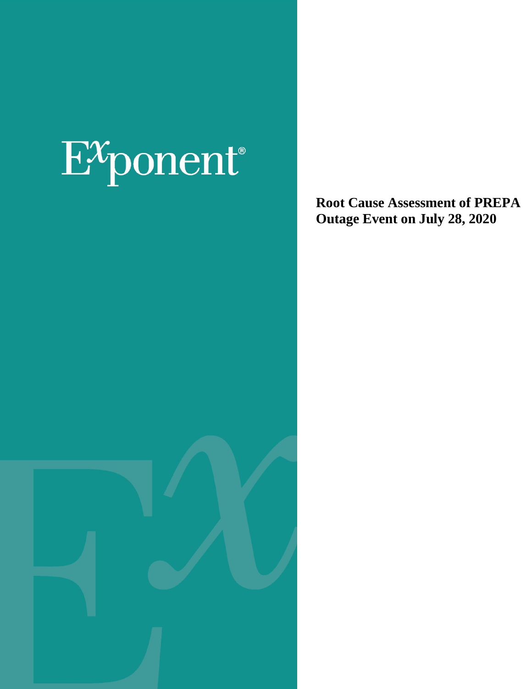# $E^x$ ponent®

**Root Cause Assessment of PREPA Outage Event on July 28, 2020**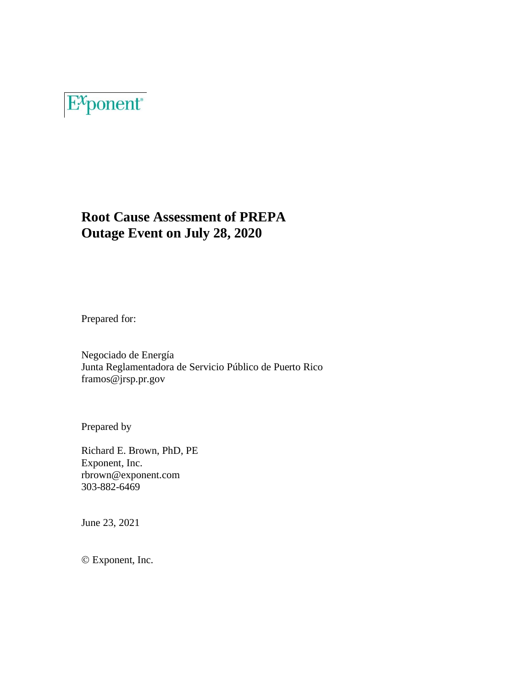

#### **Root Cause Assessment of PREPA Outage Event on July 28, 2020**

Prepared for:

Negociado de Energía Junta Reglamentadora de Servicio Público de Puerto Rico framos@jrsp.pr.gov

Prepared by

Richard E. Brown, PhD, PE Exponent, Inc. rbrown@exponent.com 303-882-6469

June 23, 2021

© Exponent, Inc.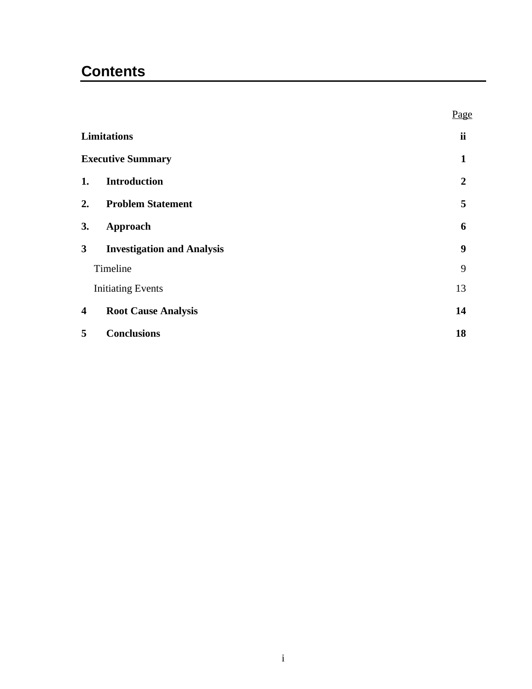## **Contents**

|                    |                                   | Page             |
|--------------------|-----------------------------------|------------------|
| <b>Limitations</b> |                                   | ii               |
|                    | <b>Executive Summary</b>          | 1                |
| 1.                 | <b>Introduction</b>               | $\boldsymbol{2}$ |
| 2.                 | <b>Problem Statement</b>          | 5                |
| 3.                 | Approach                          | 6                |
| 3                  | <b>Investigation and Analysis</b> | 9                |
| Timeline           |                                   | 9                |
|                    | <b>Initiating Events</b>          | 13               |
| 4                  | <b>Root Cause Analysis</b>        | 14               |
| 5                  | <b>Conclusions</b>                | 18               |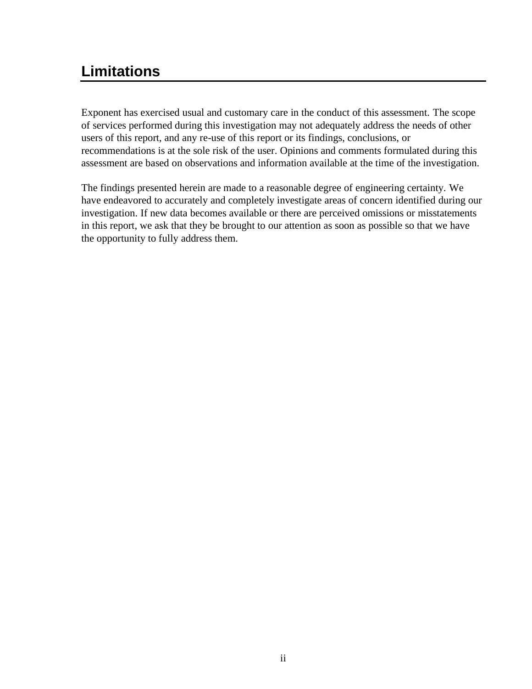#### <span id="page-3-0"></span>**Limitations**

Exponent has exercised usual and customary care in the conduct of this assessment. The scope of services performed during this investigation may not adequately address the needs of other users of this report, and any re-use of this report or its findings, conclusions, or recommendations is at the sole risk of the user. Opinions and comments formulated during this assessment are based on observations and information available at the time of the investigation.

The findings presented herein are made to a reasonable degree of engineering certainty. We have endeavored to accurately and completely investigate areas of concern identified during our investigation. If new data becomes available or there are perceived omissions or misstatements in this report, we ask that they be brought to our attention as soon as possible so that we have the opportunity to fully address them.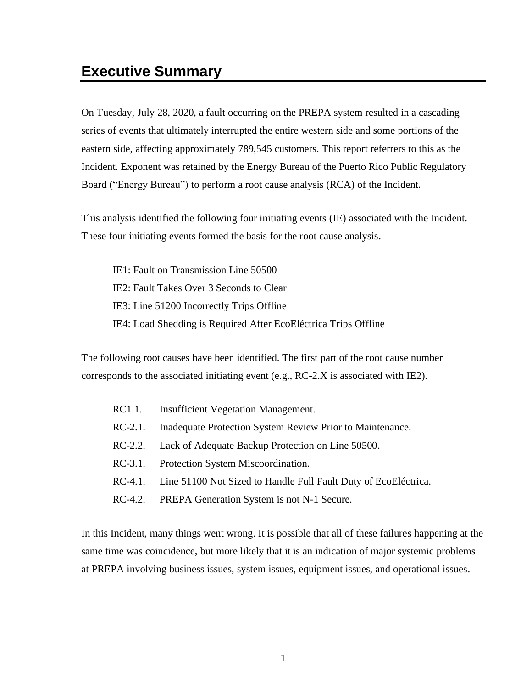#### <span id="page-4-0"></span>**Executive Summary**

On Tuesday, July 28, 2020, a fault occurring on the PREPA system resulted in a cascading series of events that ultimately interrupted the entire western side and some portions of the eastern side, affecting approximately 789,545 customers. This report referrers to this as the Incident. Exponent was retained by the Energy Bureau of the Puerto Rico Public Regulatory Board ("Energy Bureau") to perform a root cause analysis (RCA) of the Incident.

This analysis identified the following four initiating events (IE) associated with the Incident. These four initiating events formed the basis for the root cause analysis.

IE1: Fault on Transmission Line 50500 IE2: Fault Takes Over 3 Seconds to Clear IE3: Line 51200 Incorrectly Trips Offline IE4: Load Shedding is Required After EcoEléctrica Trips Offline

The following root causes have been identified. The first part of the root cause number corresponds to the associated initiating event (e.g., RC-2.X is associated with IE2).

- RC1.1. Insufficient Vegetation Management.
- RC-2.1. Inadequate Protection System Review Prior to Maintenance.
- RC-2.2. Lack of Adequate Backup Protection on Line 50500.
- RC-3.1. Protection System Miscoordination.
- RC-4.1. Line 51100 Not Sized to Handle Full Fault Duty of EcoEléctrica.
- RC-4.2. PREPA Generation System is not N-1 Secure.

In this Incident, many things went wrong. It is possible that all of these failures happening at the same time was coincidence, but more likely that it is an indication of major systemic problems at PREPA involving business issues, system issues, equipment issues, and operational issues.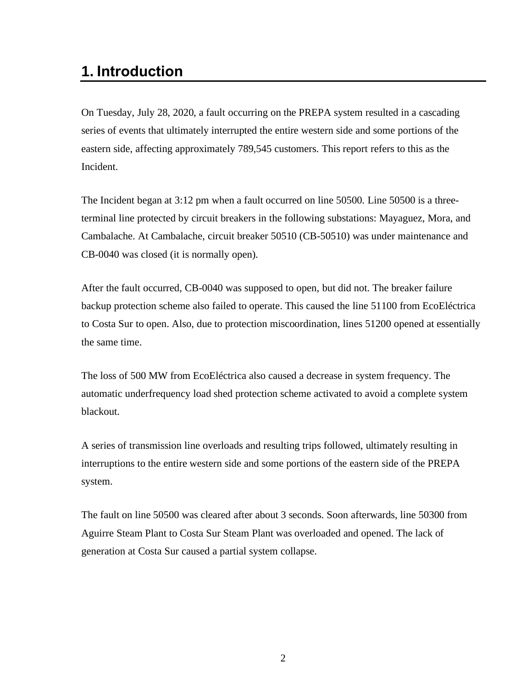#### <span id="page-5-0"></span>**1. Introduction**

On Tuesday, July 28, 2020, a fault occurring on the PREPA system resulted in a cascading series of events that ultimately interrupted the entire western side and some portions of the eastern side, affecting approximately 789,545 customers. This report refers to this as the Incident.

The Incident began at 3:12 pm when a fault occurred on line 50500. Line 50500 is a threeterminal line protected by circuit breakers in the following substations: Mayaguez, Mora, and Cambalache. At Cambalache, circuit breaker 50510 (CB-50510) was under maintenance and CB-0040 was closed (it is normally open).

After the fault occurred, CB-0040 was supposed to open, but did not. The breaker failure backup protection scheme also failed to operate. This caused the line 51100 from EcoEléctrica to Costa Sur to open. Also, due to protection miscoordination, lines 51200 opened at essentially the same time.

The loss of 500 MW from EcoEléctrica also caused a decrease in system frequency. The automatic underfrequency load shed protection scheme activated to avoid a complete system blackout.

A series of transmission line overloads and resulting trips followed, ultimately resulting in interruptions to the entire western side and some portions of the eastern side of the PREPA system.

The fault on line 50500 was cleared after about 3 seconds. Soon afterwards, line 50300 from Aguirre Steam Plant to Costa Sur Steam Plant was overloaded and opened. The lack of generation at Costa Sur caused a partial system collapse.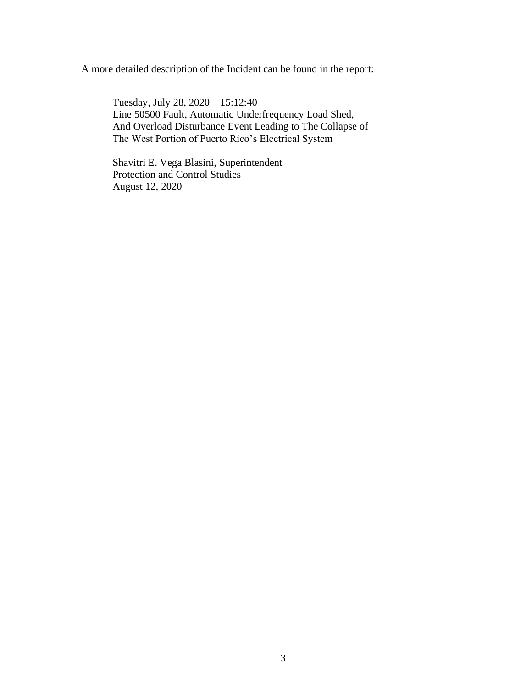A more detailed description of the Incident can be found in the report:

Tuesday, July 28, 2020 – 15:12:40 Line 50500 Fault, Automatic Underfrequency Load Shed, And Overload Disturbance Event Leading to The Collapse of The West Portion of Puerto Rico's Electrical System

Shavitri E. Vega Blasini, Superintendent Protection and Control Studies August 12, 2020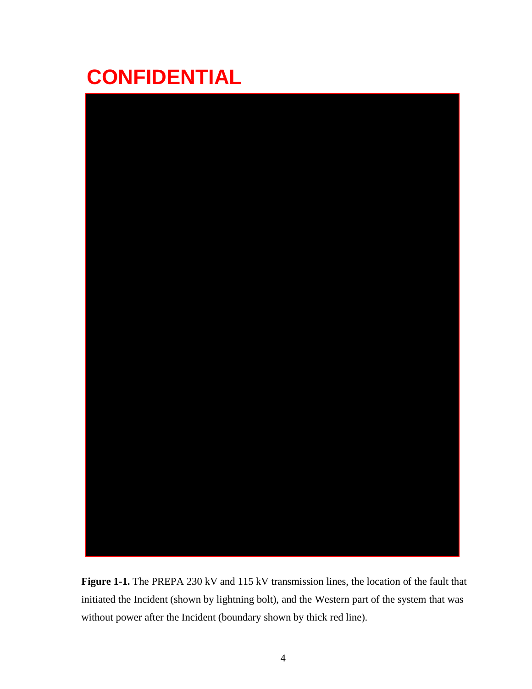# **CONFIDENTIAL**



**Figure 1-1.** The PREPA 230 kV and 115 kV transmission lines, the location of the fault that initiated the Incident (shown by lightning bolt), and the Western part of the system that was without power after the Incident (boundary shown by thick red line).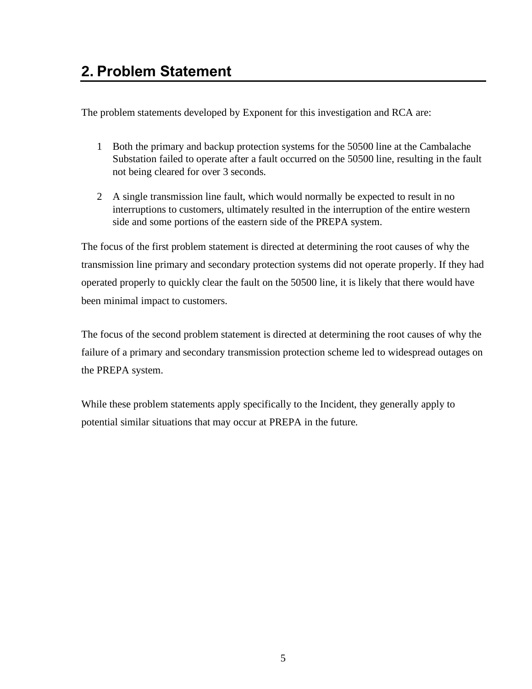<span id="page-8-0"></span>The problem statements developed by Exponent for this investigation and RCA are:

- 1 Both the primary and backup protection systems for the 50500 line at the Cambalache Substation failed to operate after a fault occurred on the 50500 line, resulting in the fault not being cleared for over 3 seconds.
- 2 A single transmission line fault, which would normally be expected to result in no interruptions to customers, ultimately resulted in the interruption of the entire western side and some portions of the eastern side of the PREPA system.

The focus of the first problem statement is directed at determining the root causes of why the transmission line primary and secondary protection systems did not operate properly. If they had operated properly to quickly clear the fault on the 50500 line, it is likely that there would have been minimal impact to customers.

The focus of the second problem statement is directed at determining the root causes of why the failure of a primary and secondary transmission protection scheme led to widespread outages on the PREPA system.

While these problem statements apply specifically to the Incident, they generally apply to potential similar situations that may occur at PREPA in the future.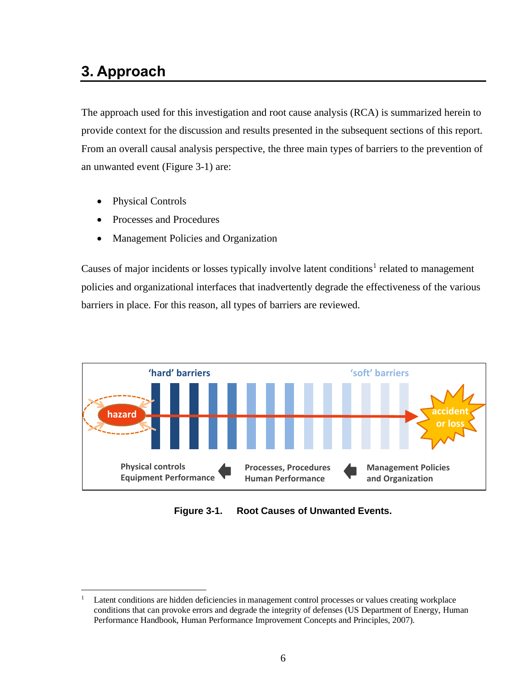## <span id="page-9-0"></span>**3. Approach**

The approach used for this investigation and root cause analysis (RCA) is summarized herein to provide context for the discussion and results presented in the subsequent sections of this report. From an overall causal analysis perspective, the three main types of barriers to the prevention of an unwanted event [\(Figure 3-1\)](#page-9-1) are:

- Physical Controls
- Processes and Procedures
- Management Policies and Organization

Causes of major incidents or losses typically involve latent conditions<sup>1</sup> related to management policies and organizational interfaces that inadvertently degrade the effectiveness of the various barriers in place. For this reason, all types of barriers are reviewed.



<span id="page-9-1"></span>**Figure 3-1. Root Causes of Unwanted Events.**

<sup>&</sup>lt;sup>1</sup> Latent conditions are hidden deficiencies in management control processes or values creating workplace conditions that can provoke errors and degrade the integrity of defenses (US Department of Energy, Human Performance Handbook, Human Performance Improvement Concepts and Principles, 2007).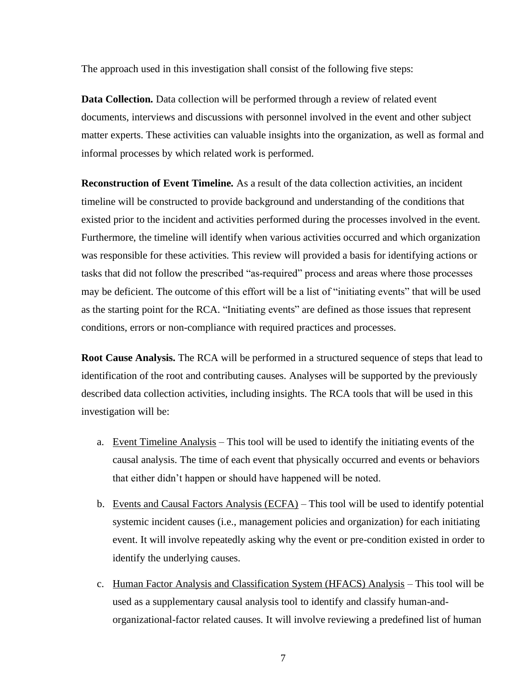The approach used in this investigation shall consist of the following five steps:

**Data Collection.** Data collection will be performed through a review of related event documents, interviews and discussions with personnel involved in the event and other subject matter experts. These activities can valuable insights into the organization, as well as formal and informal processes by which related work is performed.

**Reconstruction of Event Timeline.** As a result of the data collection activities, an incident timeline will be constructed to provide background and understanding of the conditions that existed prior to the incident and activities performed during the processes involved in the event. Furthermore, the timeline will identify when various activities occurred and which organization was responsible for these activities. This review will provided a basis for identifying actions or tasks that did not follow the prescribed "as-required" process and areas where those processes may be deficient. The outcome of this effort will be a list of "initiating events" that will be used as the starting point for the RCA. "Initiating events" are defined as those issues that represent conditions, errors or non-compliance with required practices and processes.

**Root Cause Analysis.** The RCA will be performed in a structured sequence of steps that lead to identification of the root and contributing causes. Analyses will be supported by the previously described data collection activities, including insights. The RCA tools that will be used in this investigation will be:

- a. Event Timeline Analysis This tool will be used to identify the initiating events of the causal analysis. The time of each event that physically occurred and events or behaviors that either didn't happen or should have happened will be noted.
- b. Events and Causal Factors Analysis (ECFA) This tool will be used to identify potential systemic incident causes (i.e., management policies and organization) for each initiating event. It will involve repeatedly asking why the event or pre-condition existed in order to identify the underlying causes.
- c. Human Factor Analysis and Classification System (HFACS) Analysis This tool will be used as a supplementary causal analysis tool to identify and classify human-andorganizational-factor related causes. It will involve reviewing a predefined list of human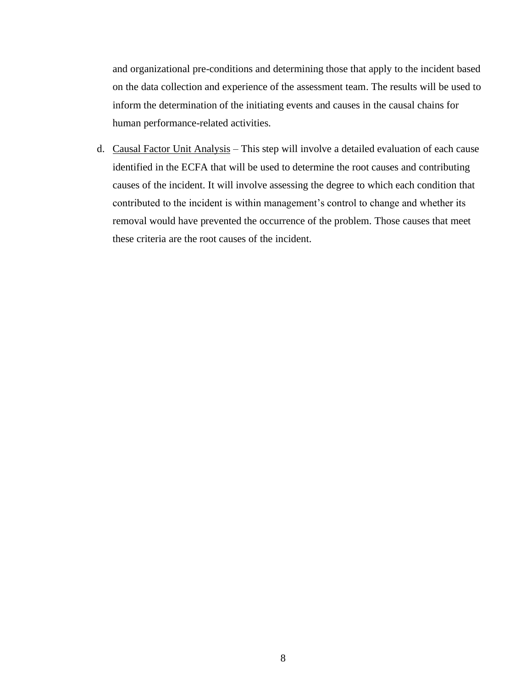and organizational pre-conditions and determining those that apply to the incident based on the data collection and experience of the assessment team. The results will be used to inform the determination of the initiating events and causes in the causal chains for human performance-related activities.

d. Causal Factor Unit Analysis – This step will involve a detailed evaluation of each cause identified in the ECFA that will be used to determine the root causes and contributing causes of the incident. It will involve assessing the degree to which each condition that contributed to the incident is within management's control to change and whether its removal would have prevented the occurrence of the problem. Those causes that meet these criteria are the root causes of the incident.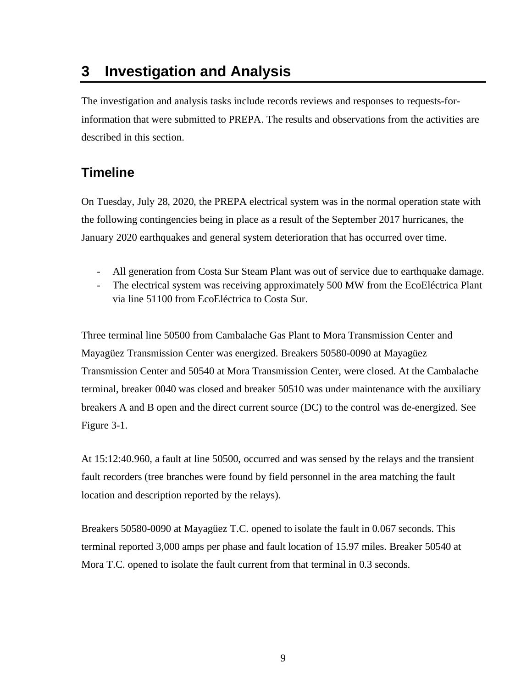## <span id="page-12-0"></span>**3 Investigation and Analysis**

The investigation and analysis tasks include records reviews and responses to requests-forinformation that were submitted to PREPA. The results and observations from the activities are described in this section.

#### <span id="page-12-1"></span>**Timeline**

On Tuesday, July 28, 2020, the PREPA electrical system was in the normal operation state with the following contingencies being in place as a result of the September 2017 hurricanes, the January 2020 earthquakes and general system deterioration that has occurred over time.

- All generation from Costa Sur Steam Plant was out of service due to earthquake damage.
- The electrical system was receiving approximately 500 MW from the EcoEléctrica Plant via line 51100 from EcoEléctrica to Costa Sur.

Three terminal line 50500 from Cambalache Gas Plant to Mora Transmission Center and Mayagüez Transmission Center was energized. Breakers 50580-0090 at Mayagüez Transmission Center and 50540 at Mora Transmission Center, were closed. At the Cambalache terminal, breaker 0040 was closed and breaker 50510 was under maintenance with the auxiliary breakers A and B open and the direct current source (DC) to the control was de-energized. See Figure 3-1.

At 15:12:40.960, a fault at line 50500, occurred and was sensed by the relays and the transient fault recorders (tree branches were found by field personnel in the area matching the fault location and description reported by the relays).

Breakers 50580-0090 at Mayagüez T.C. opened to isolate the fault in 0.067 seconds. This terminal reported 3,000 amps per phase and fault location of 15.97 miles. Breaker 50540 at Mora T.C. opened to isolate the fault current from that terminal in 0.3 seconds.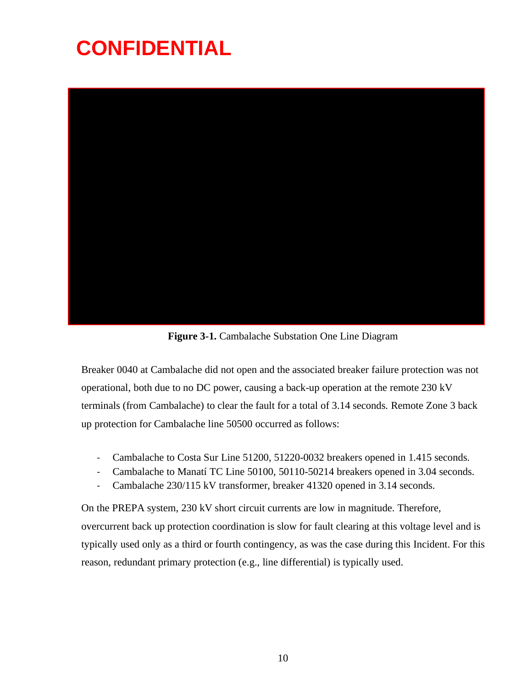# **CONFIDENTIAL**



**Figure 3-1.** Cambalache Substation One Line Diagram

Breaker 0040 at Cambalache did not open and the associated breaker failure protection was not operational, both due to no DC power, causing a back-up operation at the remote 230 kV terminals (from Cambalache) to clear the fault for a total of 3.14 seconds. Remote Zone 3 back up protection for Cambalache line 50500 occurred as follows:

- Cambalache to Costa Sur Line 51200, 51220-0032 breakers opened in 1.415 seconds.
- Cambalache to Manatí TC Line 50100, 50110-50214 breakers opened in 3.04 seconds.
- Cambalache 230/115 kV transformer, breaker 41320 opened in 3.14 seconds.

On the PREPA system, 230 kV short circuit currents are low in magnitude. Therefore, overcurrent back up protection coordination is slow for fault clearing at this voltage level and is typically used only as a third or fourth contingency, as was the case during this Incident. For this reason, redundant primary protection (e.g., line differential) is typically used.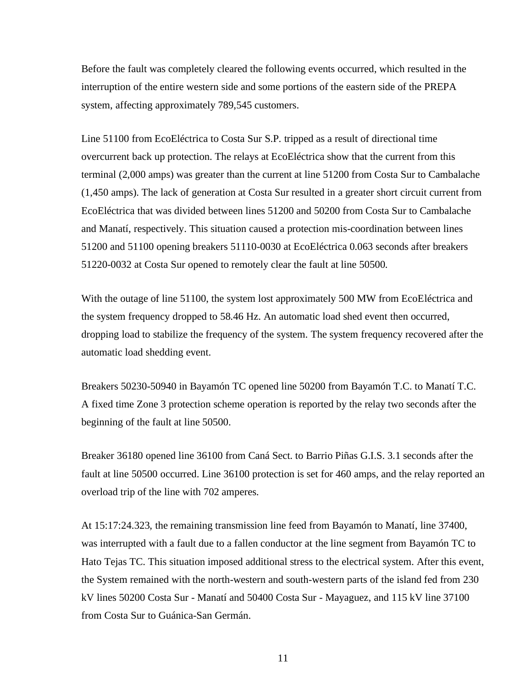Before the fault was completely cleared the following events occurred, which resulted in the interruption of the entire western side and some portions of the eastern side of the PREPA system, affecting approximately 789,545 customers.

Line 51100 from EcoEléctrica to Costa Sur S.P. tripped as a result of directional time overcurrent back up protection. The relays at EcoEléctrica show that the current from this terminal (2,000 amps) was greater than the current at line 51200 from Costa Sur to Cambalache (1,450 amps). The lack of generation at Costa Sur resulted in a greater short circuit current from EcoEléctrica that was divided between lines 51200 and 50200 from Costa Sur to Cambalache and Manatí, respectively. This situation caused a protection mis-coordination between lines 51200 and 51100 opening breakers 51110-0030 at EcoEléctrica 0.063 seconds after breakers 51220-0032 at Costa Sur opened to remotely clear the fault at line 50500.

With the outage of line 51100, the system lost approximately 500 MW from EcoEléctrica and the system frequency dropped to 58.46 Hz. An automatic load shed event then occurred, dropping load to stabilize the frequency of the system. The system frequency recovered after the automatic load shedding event.

Breakers 50230-50940 in Bayamón TC opened line 50200 from Bayamón T.C. to Manatí T.C. A fixed time Zone 3 protection scheme operation is reported by the relay two seconds after the beginning of the fault at line 50500.

Breaker 36180 opened line 36100 from Caná Sect. to Barrio Piñas G.I.S. 3.1 seconds after the fault at line 50500 occurred. Line 36100 protection is set for 460 amps, and the relay reported an overload trip of the line with 702 amperes.

At 15:17:24.323, the remaining transmission line feed from Bayamón to Manatí, line 37400, was interrupted with a fault due to a fallen conductor at the line segment from Bayamón TC to Hato Tejas TC. This situation imposed additional stress to the electrical system. After this event, the System remained with the north-western and south-western parts of the island fed from 230 kV lines 50200 Costa Sur - Manatí and 50400 Costa Sur - Mayaguez, and 115 kV line 37100 from Costa Sur to Guánica-San Germán.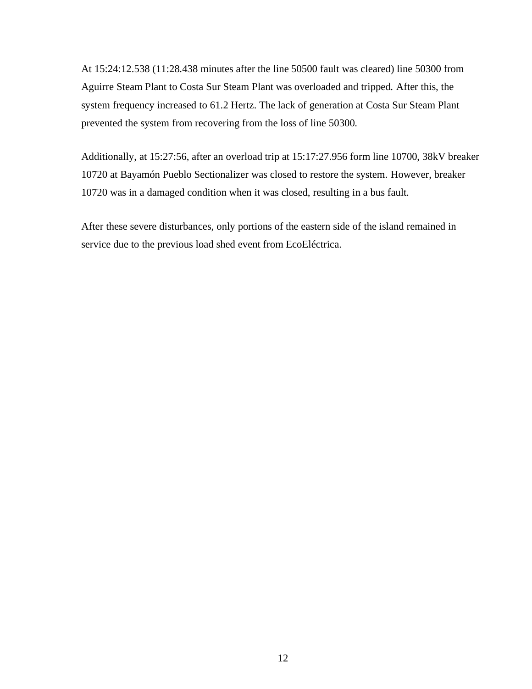At 15:24:12.538 (11:28.438 minutes after the line 50500 fault was cleared) line 50300 from Aguirre Steam Plant to Costa Sur Steam Plant was overloaded and tripped. After this, the system frequency increased to 61.2 Hertz. The lack of generation at Costa Sur Steam Plant prevented the system from recovering from the loss of line 50300.

Additionally, at 15:27:56, after an overload trip at 15:17:27.956 form line 10700, 38kV breaker 10720 at Bayamón Pueblo Sectionalizer was closed to restore the system. However, breaker 10720 was in a damaged condition when it was closed, resulting in a bus fault.

After these severe disturbances, only portions of the eastern side of the island remained in service due to the previous load shed event from EcoEléctrica.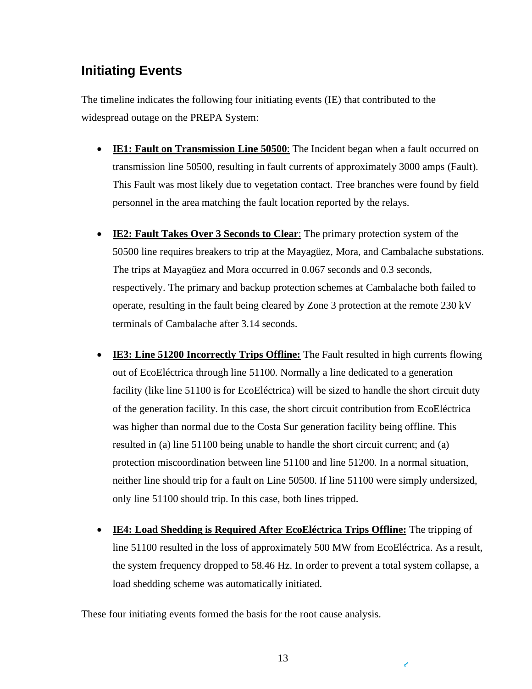#### <span id="page-16-0"></span>**Initiating Events**

The timeline indicates the following four initiating events (IE) that contributed to the widespread outage on the PREPA System:

- **IE1: Fault on Transmission Line 50500**: The Incident began when a fault occurred on transmission line 50500, resulting in fault currents of approximately 3000 amps (Fault). This Fault was most likely due to vegetation contact. Tree branches were found by field personnel in the area matching the fault location reported by the relays.
- **IE2: Fault Takes Over 3 Seconds to Clear**: The primary protection system of the 50500 line requires breakers to trip at the Mayagüez, Mora, and Cambalache substations. The trips at Mayagüez and Mora occurred in 0.067 seconds and 0.3 seconds, respectively. The primary and backup protection schemes at Cambalache both failed to operate, resulting in the fault being cleared by Zone 3 protection at the remote 230 kV terminals of Cambalache after 3.14 seconds.
- **IE3: Line 51200 Incorrectly Trips Offline:** The Fault resulted in high currents flowing out of EcoEléctrica through line 51100. Normally a line dedicated to a generation facility (like line 51100 is for EcoEléctrica) will be sized to handle the short circuit duty of the generation facility. In this case, the short circuit contribution from EcoEléctrica was higher than normal due to the Costa Sur generation facility being offline. This resulted in (a) line 51100 being unable to handle the short circuit current; and (a) protection miscoordination between line 51100 and line 51200. In a normal situation, neither line should trip for a fault on Line 50500. If line 51100 were simply undersized, only line 51100 should trip. In this case, both lines tripped.
- **IE4: Load Shedding is Required After EcoEléctrica Trips Offline:** The tripping of line 51100 resulted in the loss of approximately 500 MW from EcoEléctrica. As a result, the system frequency dropped to 58.46 Hz. In order to prevent a total system collapse, a load shedding scheme was automatically initiated.

These four initiating events formed the basis for the root cause analysis.

ŕ,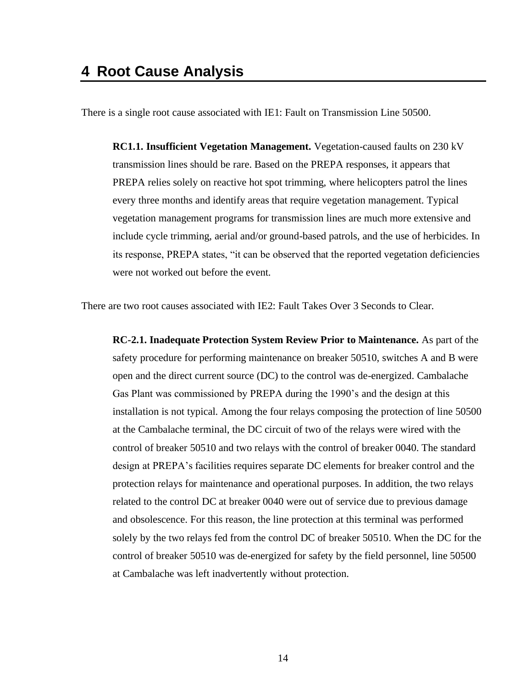<span id="page-17-0"></span>There is a single root cause associated with IE1: Fault on Transmission Line 50500.

**RC1.1. Insufficient Vegetation Management.** Vegetation-caused faults on 230 kV transmission lines should be rare. Based on the PREPA responses, it appears that PREPA relies solely on reactive hot spot trimming, where helicopters patrol the lines every three months and identify areas that require vegetation management. Typical vegetation management programs for transmission lines are much more extensive and include cycle trimming, aerial and/or ground-based patrols, and the use of herbicides. In its response, PREPA states, "it can be observed that the reported vegetation deficiencies were not worked out before the event.

There are two root causes associated with IE2: Fault Takes Over 3 Seconds to Clear.

**RC-2.1. Inadequate Protection System Review Prior to Maintenance.** As part of the safety procedure for performing maintenance on breaker 50510, switches A and B were open and the direct current source (DC) to the control was de-energized. Cambalache Gas Plant was commissioned by PREPA during the 1990's and the design at this installation is not typical. Among the four relays composing the protection of line 50500 at the Cambalache terminal, the DC circuit of two of the relays were wired with the control of breaker 50510 and two relays with the control of breaker 0040. The standard design at PREPA's facilities requires separate DC elements for breaker control and the protection relays for maintenance and operational purposes. In addition, the two relays related to the control DC at breaker 0040 were out of service due to previous damage and obsolescence. For this reason, the line protection at this terminal was performed solely by the two relays fed from the control DC of breaker 50510. When the DC for the control of breaker 50510 was de-energized for safety by the field personnel, line 50500 at Cambalache was left inadvertently without protection.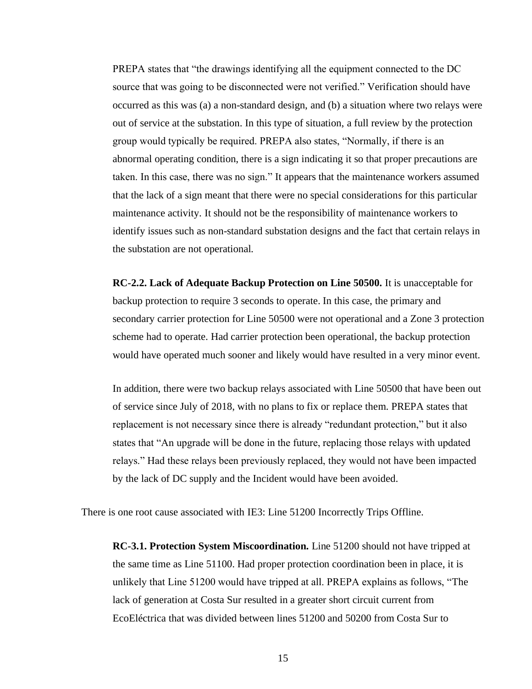PREPA states that "the drawings identifying all the equipment connected to the DC source that was going to be disconnected were not verified." Verification should have occurred as this was (a) a non-standard design, and (b) a situation where two relays were out of service at the substation. In this type of situation, a full review by the protection group would typically be required. PREPA also states, "Normally, if there is an abnormal operating condition, there is a sign indicating it so that proper precautions are taken. In this case, there was no sign." It appears that the maintenance workers assumed that the lack of a sign meant that there were no special considerations for this particular maintenance activity. It should not be the responsibility of maintenance workers to identify issues such as non-standard substation designs and the fact that certain relays in the substation are not operational.

**RC-2.2. Lack of Adequate Backup Protection on Line 50500.** It is unacceptable for backup protection to require 3 seconds to operate. In this case, the primary and secondary carrier protection for Line 50500 were not operational and a Zone 3 protection scheme had to operate. Had carrier protection been operational, the backup protection would have operated much sooner and likely would have resulted in a very minor event.

In addition, there were two backup relays associated with Line 50500 that have been out of service since July of 2018, with no plans to fix or replace them. PREPA states that replacement is not necessary since there is already "redundant protection," but it also states that "An upgrade will be done in the future, replacing those relays with updated relays." Had these relays been previously replaced, they would not have been impacted by the lack of DC supply and the Incident would have been avoided.

There is one root cause associated with IE3: Line 51200 Incorrectly Trips Offline.

**RC-3.1. Protection System Miscoordination.** Line 51200 should not have tripped at the same time as Line 51100. Had proper protection coordination been in place, it is unlikely that Line 51200 would have tripped at all. PREPA explains as follows, "The lack of generation at Costa Sur resulted in a greater short circuit current from EcoEléctrica that was divided between lines 51200 and 50200 from Costa Sur to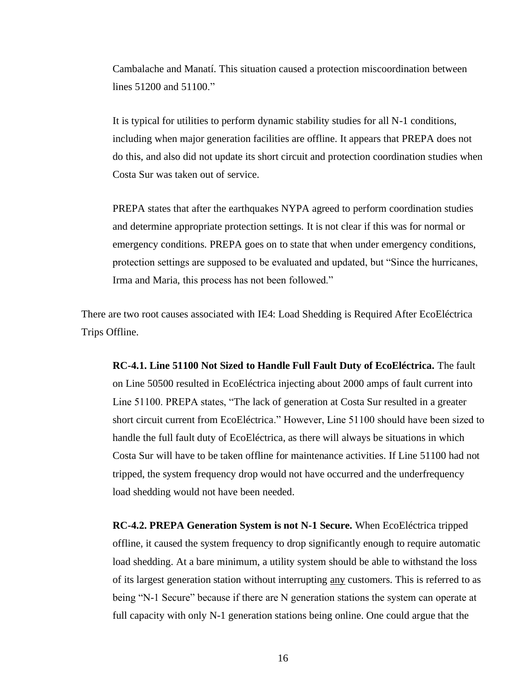Cambalache and Manatí. This situation caused a protection miscoordination between lines 51200 and 51100."

It is typical for utilities to perform dynamic stability studies for all N-1 conditions, including when major generation facilities are offline. It appears that PREPA does not do this, and also did not update its short circuit and protection coordination studies when Costa Sur was taken out of service.

PREPA states that after the earthquakes NYPA agreed to perform coordination studies and determine appropriate protection settings. It is not clear if this was for normal or emergency conditions. PREPA goes on to state that when under emergency conditions, protection settings are supposed to be evaluated and updated, but "Since the hurricanes, Irma and Maria, this process has not been followed."

There are two root causes associated with IE4: Load Shedding is Required After EcoEléctrica Trips Offline.

**RC-4.1. Line 51100 Not Sized to Handle Full Fault Duty of EcoEléctrica.** The fault on Line 50500 resulted in EcoEléctrica injecting about 2000 amps of fault current into Line 51100. PREPA states, "The lack of generation at Costa Sur resulted in a greater short circuit current from EcoEléctrica." However, Line 51100 should have been sized to handle the full fault duty of EcoEléctrica, as there will always be situations in which Costa Sur will have to be taken offline for maintenance activities. If Line 51100 had not tripped, the system frequency drop would not have occurred and the underfrequency load shedding would not have been needed.

**RC-4.2. PREPA Generation System is not N-1 Secure.** When EcoEléctrica tripped offline, it caused the system frequency to drop significantly enough to require automatic load shedding. At a bare minimum, a utility system should be able to withstand the loss of its largest generation station without interrupting any customers. This is referred to as being "N-1 Secure" because if there are N generation stations the system can operate at full capacity with only N-1 generation stations being online. One could argue that the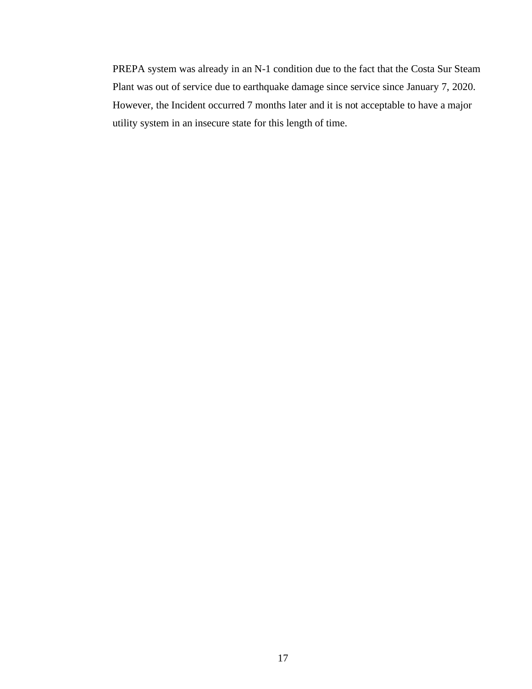PREPA system was already in an N-1 condition due to the fact that the Costa Sur Steam Plant was out of service due to earthquake damage since service since January 7, 2020. However, the Incident occurred 7 months later and it is not acceptable to have a major utility system in an insecure state for this length of time.